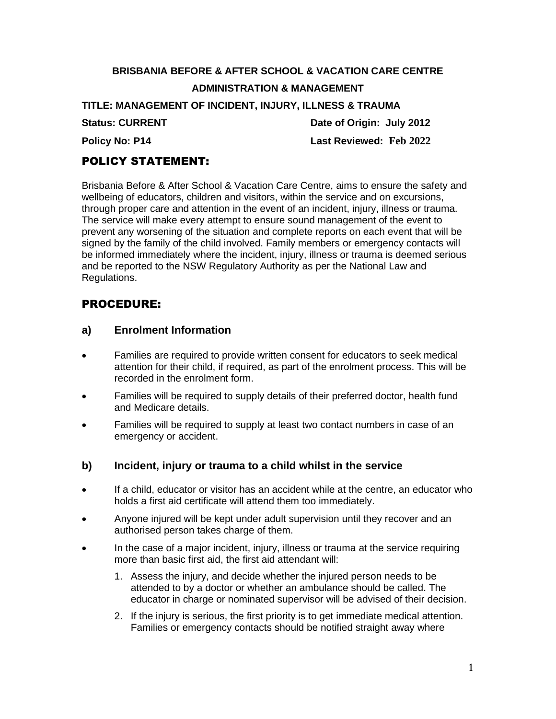# **BRISBANIA BEFORE & AFTER SCHOOL & VACATION CARE CENTRE ADMINISTRATION & MANAGEMENT**

**TITLE: MANAGEMENT OF INCIDENT, INJURY, ILLNESS & TRAUMA**

**Status: CURRENT** Date of Origin: July 2012 **Policy No: P14 Last Reviewed: Feb 2022**

# POLICY STATEMENT:

Brisbania Before & After School & Vacation Care Centre, aims to ensure the safety and wellbeing of educators, children and visitors, within the service and on excursions, through proper care and attention in the event of an incident, injury, illness or trauma. The service will make every attempt to ensure sound management of the event to prevent any worsening of the situation and complete reports on each event that will be signed by the family of the child involved. Family members or emergency contacts will be informed immediately where the incident, injury, illness or trauma is deemed serious and be reported to the NSW Regulatory Authority as per the National Law and Regulations.

# PROCEDURE:

#### **a) Enrolment Information**

- Families are required to provide written consent for educators to seek medical attention for their child, if required, as part of the enrolment process. This will be recorded in the enrolment form.
- Families will be required to supply details of their preferred doctor, health fund and Medicare details.
- Families will be required to supply at least two contact numbers in case of an emergency or accident.
- **b) Incident, injury or trauma to a child whilst in the service**
- If a child, educator or visitor has an accident while at the centre, an educator who holds a first aid certificate will attend them too immediately.
- Anyone injured will be kept under adult supervision until they recover and an authorised person takes charge of them.
- In the case of a major incident, injury, illness or trauma at the service requiring more than basic first aid, the first aid attendant will:
	- 1. Assess the injury, and decide whether the injured person needs to be attended to by a doctor or whether an ambulance should be called. The educator in charge or nominated supervisor will be advised of their decision.
	- 2. If the injury is serious, the first priority is to get immediate medical attention. Families or emergency contacts should be notified straight away where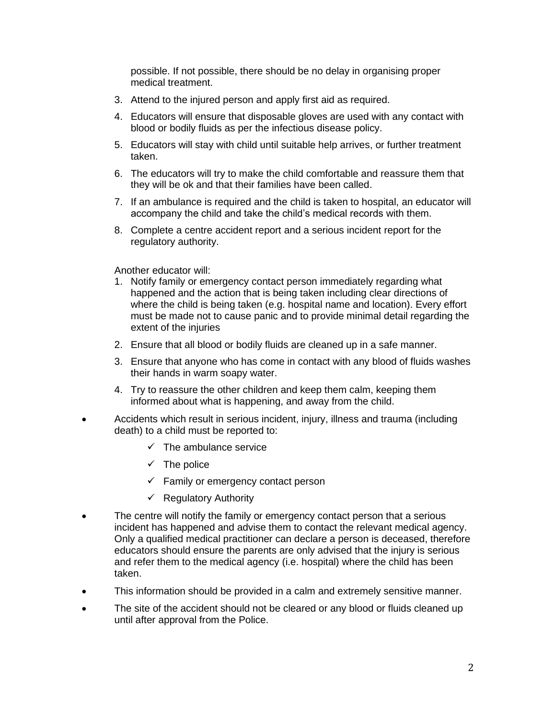possible. If not possible, there should be no delay in organising proper medical treatment.

- 3. Attend to the injured person and apply first aid as required.
- 4. Educators will ensure that disposable gloves are used with any contact with blood or bodily fluids as per the infectious disease policy.
- 5. Educators will stay with child until suitable help arrives, or further treatment taken.
- 6. The educators will try to make the child comfortable and reassure them that they will be ok and that their families have been called.
- 7. If an ambulance is required and the child is taken to hospital, an educator will accompany the child and take the child's medical records with them.
- 8. Complete a centre accident report and a serious incident report for the regulatory authority.

Another educator will:

- 1. Notify family or emergency contact person immediately regarding what happened and the action that is being taken including clear directions of where the child is being taken (e.g. hospital name and location). Every effort must be made not to cause panic and to provide minimal detail regarding the extent of the injuries
- 2. Ensure that all blood or bodily fluids are cleaned up in a safe manner.
- 3. Ensure that anyone who has come in contact with any blood of fluids washes their hands in warm soapy water.
- 4. Try to reassure the other children and keep them calm, keeping them informed about what is happening, and away from the child.
- Accidents which result in serious incident, injury, illness and trauma (including death) to a child must be reported to:
	- $\checkmark$  The ambulance service
	- $\checkmark$  The police
	- $\checkmark$  Family or emergency contact person
	- $\checkmark$  Regulatory Authority
- The centre will notify the family or emergency contact person that a serious incident has happened and advise them to contact the relevant medical agency. Only a qualified medical practitioner can declare a person is deceased, therefore educators should ensure the parents are only advised that the injury is serious and refer them to the medical agency (i.e. hospital) where the child has been taken.
- This information should be provided in a calm and extremely sensitive manner.
- The site of the accident should not be cleared or any blood or fluids cleaned up until after approval from the Police.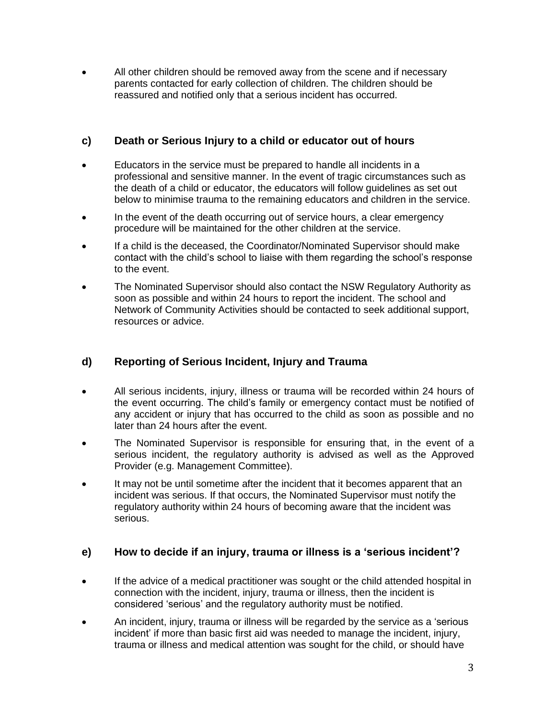• All other children should be removed away from the scene and if necessary parents contacted for early collection of children. The children should be reassured and notified only that a serious incident has occurred.

#### **c) Death or Serious Injury to a child or educator out of hours**

- Educators in the service must be prepared to handle all incidents in a professional and sensitive manner. In the event of tragic circumstances such as the death of a child or educator, the educators will follow guidelines as set out below to minimise trauma to the remaining educators and children in the service.
- In the event of the death occurring out of service hours, a clear emergency procedure will be maintained for the other children at the service.
- If a child is the deceased, the Coordinator/Nominated Supervisor should make contact with the child's school to liaise with them regarding the school's response to the event.
- The Nominated Supervisor should also contact the NSW Regulatory Authority as soon as possible and within 24 hours to report the incident. The school and Network of Community Activities should be contacted to seek additional support, resources or advice.

## **d) Reporting of Serious Incident, Injury and Trauma**

- All serious incidents, injury, illness or trauma will be recorded within 24 hours of the event occurring. The child's family or emergency contact must be notified of any accident or injury that has occurred to the child as soon as possible and no later than 24 hours after the event.
- The Nominated Supervisor is responsible for ensuring that, in the event of a serious incident, the regulatory authority is advised as well as the Approved Provider (e.g. Management Committee).
- It may not be until sometime after the incident that it becomes apparent that an incident was serious. If that occurs, the Nominated Supervisor must notify the regulatory authority within 24 hours of becoming aware that the incident was serious.

#### **e) How to decide if an injury, trauma or illness is a 'serious incident'?**

- If the advice of a medical practitioner was sought or the child attended hospital in connection with the incident, injury, trauma or illness, then the incident is considered 'serious' and the regulatory authority must be notified.
- An incident, injury, trauma or illness will be regarded by the service as a 'serious incident' if more than basic first aid was needed to manage the incident, injury, trauma or illness and medical attention was sought for the child, or should have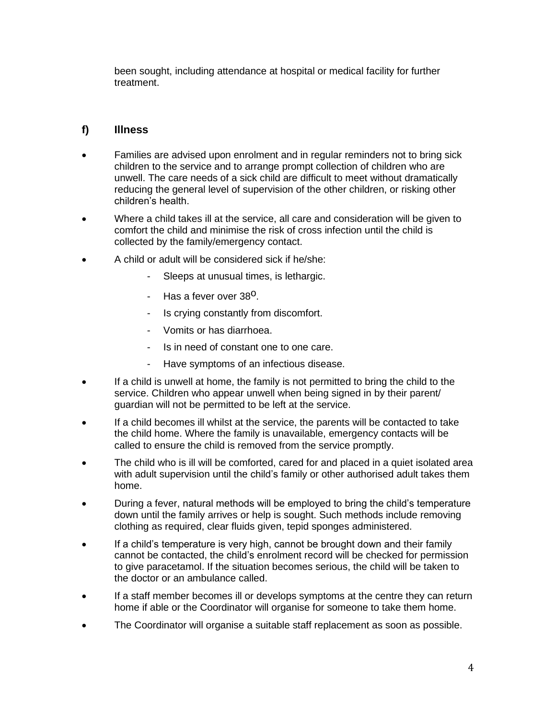been sought, including attendance at hospital or medical facility for further treatment.

#### **f) Illness**

- Families are advised upon enrolment and in regular reminders not to bring sick children to the service and to arrange prompt collection of children who are unwell. The care needs of a sick child are difficult to meet without dramatically reducing the general level of supervision of the other children, or risking other children's health.
- Where a child takes ill at the service, all care and consideration will be given to comfort the child and minimise the risk of cross infection until the child is collected by the family/emergency contact.
- A child or adult will be considered sick if he/she:
	- Sleeps at unusual times, is lethargic.
	- Has a fever over 38<sup>o</sup>.
	- Is crying constantly from discomfort.
	- Vomits or has diarrhoea.
	- Is in need of constant one to one care.
	- Have symptoms of an infectious disease.
- If a child is unwell at home, the family is not permitted to bring the child to the service. Children who appear unwell when being signed in by their parent/ guardian will not be permitted to be left at the service.
- If a child becomes ill whilst at the service, the parents will be contacted to take the child home. Where the family is unavailable, emergency contacts will be called to ensure the child is removed from the service promptly.
- The child who is ill will be comforted, cared for and placed in a quiet isolated area with adult supervision until the child's family or other authorised adult takes them home.
- During a fever, natural methods will be employed to bring the child's temperature down until the family arrives or help is sought. Such methods include removing clothing as required, clear fluids given, tepid sponges administered.
- If a child's temperature is very high, cannot be brought down and their family cannot be contacted, the child's enrolment record will be checked for permission to give paracetamol. If the situation becomes serious, the child will be taken to the doctor or an ambulance called.
- If a staff member becomes ill or develops symptoms at the centre they can return home if able or the Coordinator will organise for someone to take them home.
- The Coordinator will organise a suitable staff replacement as soon as possible.